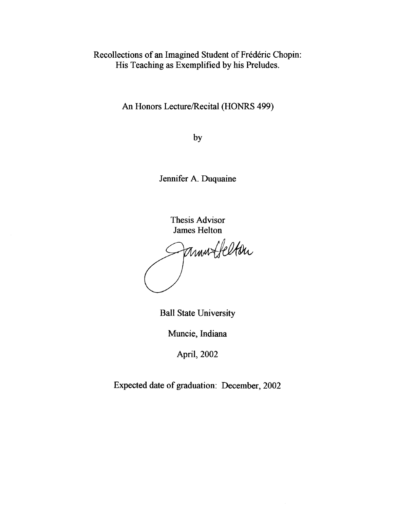Recollections of an Imagined Student of Frederic Chopin: His Teaching as Exemplified by his Preludes.

An Honors Lecture/Recital (HONRS 499)

by

Jennifer A. Duquaine

Thesis Advisor

James Helton<br>Muntfelton

Ball State University

Muncie, Indiana

April, 2002

Expected date of graduation: December, 2002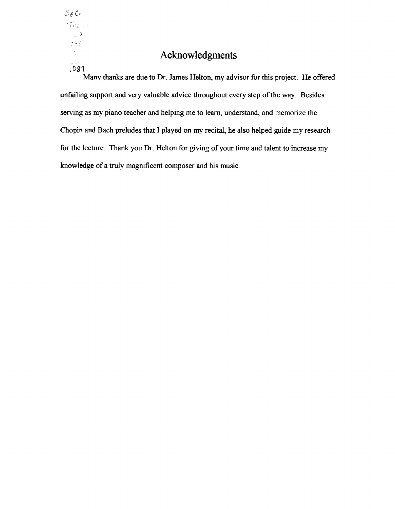$SpCo$  $\mathcal{T}_{\mathcal{M}_{\mathcal{C}}^{(1)}}$  $\rightarrow$  $\mathcal{F}^{\mathcal{L}}\mathcal{S}^{\mathcal{L}}$ *.D81* 

## **Acknowledgments**

Many thanks are due to Dr. James Helton, my advisor for this project. He offered unfailing support and very valuable advice throughout every step of the way. Besides serving as my piano teacher and helping me to learn, understand, and memorize the Chopin and Bach preludes that I played on my recital, he also helped guide my research for the lecture. Thank you Dr. Helton for giving of your time and talent to increase my knowledge of a truly magnificent composer and his music.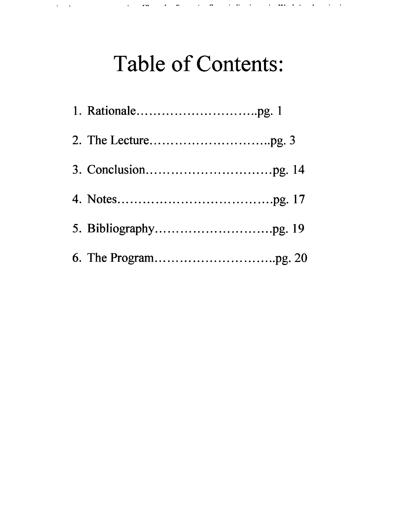# **Table of Contents:**

الأولى والأمريكية المعقد الأولى المراجعة الأولى المعربية التي يعرف المراجع المراجع المراجع المراجع المراجع المراجع

 $\mathbf{q} = \mathbf{q} \mathbf{q}$  , where  $\mathbf{q} = \mathbf{q}$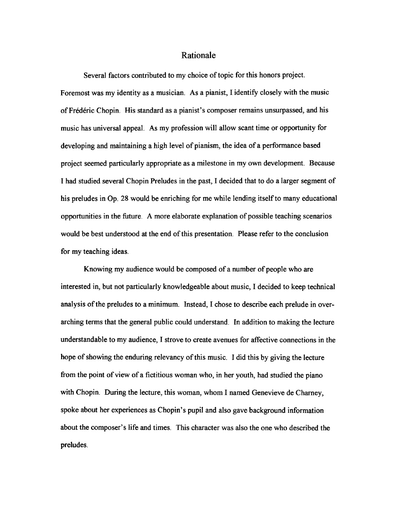### Rationale

Several factors contributed to my choice of topic for this honors project. Foremost was my identity as a musician. As a pianist, I identify closely with the music of Frederic Chopin. His standard as a pianist's composer remains unsurpassed, and his music has universal appeal. As my profession will allow scant time or opportunity for developing and maintaining a high level of pianism, the idea of a performance based project seemed particularly appropriate as a milestone in my own development. Because I had studied several Chopin Preludes in the past, I decided that to do a larger segment of his preludes in Op. 28 would be enriching for me while lending itself to many educational opportunities in the future. A more elaborate explanation of possible teaching scenarios would be best understood at the end of this presentation. Please refer to the conclusion for my teaching ideas.

Knowing my audience would be composed of a number of people who are interested in, but not particularly knowledgeable about music, I decided to keep technical analysis of the preludes to a minimum. Instead, I chose to describe each prelude in overarching terms that the general public could understand. In addition to making the lecture understandable to my audience, I strove to create avenues for affective connections in the hope of showing the enduring relevancy of this music. I did this by giving the lecture from the point of view of a fictitious woman who, in her youth, had studied the piano with Chopin. During the lecture, this woman, whom I named Genevieve de Charney, spoke about her experiences as Chopin's pupil and also gave background information about the composer's life and times. This character was also the one who described the preludes.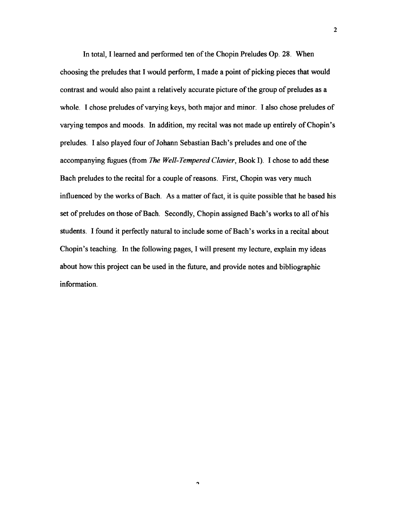In total, I learned and performed ten of the Chopin Preludes Op. 28. When choosing the preludes that I would perform, I made a point of picking pieces that would contrast and would also paint a relatively accurate picture of the group of preludes as a whole. I chose preludes of varying keys, both major and minor. I also chose preludes of varying tempos and moods. In addition, my recital was not made up entirely of Chopin's preludes. I also played four of Johann Sebastian Bach's preludes and one of the accompanying fugues (from *The Well-Tempered Clavier,* Book I). I chose to add these Bach preludes to the recital for a couple of reasons. First, Chopin was very much influenced by the works of Bach. As a matter of fact, it is quite possible that he based his set of preludes on those of Bach. Secondly, Chopin assigned Bach's works to all of his students. I found it perfectly natural to include some of Bach's works in a recital about Chopin's teaching. In the following pages, I will present my lecture, explain my ideas about how this project can be used in the future, and provide notes and bibliographic information.

 $\Delta$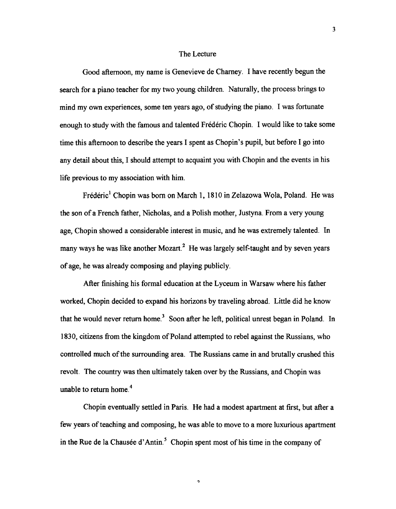### The Lecture

Good afternoon, my name is Genevieve de Charney. I have recently begun the search for a piano teacher for my two young children. Naturally, the process brings to mind my own experiences, some ten years ago, of studying the piano. I was fortunate enough to study with the famous and talented Frederic Chopin. I would like to take some time this afternoon to describe the years I spent as Chopin's pupil, but before I go into any detail about this, I should attempt to acquaint you with Chopin and the events in his life previous to my association with him.

Frederic<sup>1</sup> Chopin was born on March 1, 1810 in Zelazowa Wola, Poland. He was the son of a French father, Nicholas, and a Polish mother, Justyna. From a very young age, Chopin showed a considerable interest in music, and he was extremely talented. In many ways he was like another Mozart.<sup>2</sup> He was largely self-taught and by seven years of age, he was already composing and playing publicly.

After finishing his formal education at the Lyceum in Warsaw where his father worked, Chopin decided to expand his horizons by traveling abroad. Little did he know that he would never return home.<sup>3</sup> Soon after he left, political unrest began in Poland. In 1830, citizens from the kingdom of Poland attempted to rebel against the Russians, who controlled much of the surrounding area. The Russians came in and brutally crushed this revolt. The country was then ultimately taken over by the Russians, and Chopin was unable to return home.<sup>4</sup>

Chopin eventually settled in Paris. He had a modest apartment at first, but after a few years of teaching and composing, he was able to move to a more luxurious apartment in the Rue de la Chausée d'Antin.<sup>5</sup> Chopin spent most of his time in the company of

 $\overline{ }$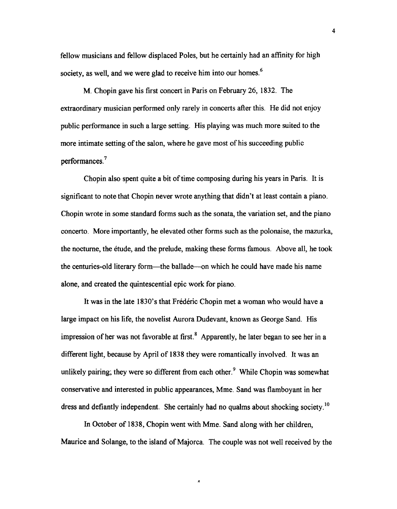fellow musicians and fellow displaced Poles, but he certainly had an affinity for high society, as well, and we were glad to receive him into our homes.<sup>6</sup>

M. Chopin gave his first concert in Paris on February 26, 1832. The extraordinary musician performed only rarely in concerts after this. He did not enjoy public performance in such a large setting. His playing was much more suited to the more intimate setting of the salon, where he gave most of his succeeding public performances. 7

Chopin also spent quite a bit of time composing during his years in Paris. It is significant to note that Chopin never wrote anything that didn't at least contain a piano. Chopin wrote in some standard forms such as the sonata, the variation set, and the piano concerto. More importantly, he elevated other forms such as the polonaise, the mazurka, the nocturne, the etude, and the prelude, making these forms famous. Above all, he took the centuries-old literary form-the ballade-on which he could have made his name alone, and created the quintescential epic work for piano.

It was in the late 1830's that Frederic Chopin met a woman who would have a large impact on his life, the novelist Aurora Dudevant, known as George Sand. His impression of her was not favorable at first.<sup>8</sup> Apparently, he later began to see her in a different light, because by April of 1838 they were romantically involved. It was an unlikely pairing; they were so different from each other.<sup>9</sup> While Chopin was somewhat conservative and interested in public appearances, Mme. Sand was flamboyant in her dress and defiantly independent. She certainly had no qualms about shocking society.<sup>10</sup>

In October of 1838, Chopin went with Mme. Sand along with her children, Maurice and Solange, to the island of Majorca. The couple was not well received by the

*A*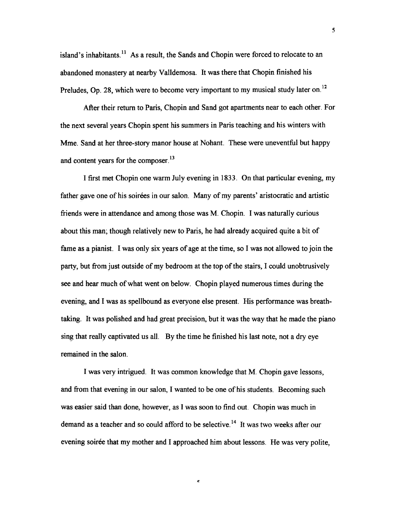island's inhabitants.<sup>11</sup> As a result, the Sands and Chopin were forced to relocate to an abandoned monastery at nearby Valldemosa. It was there that Chopin finished his Preludes, Op. 28, which were to become very important to my musical study later on.<sup>12</sup>

After their return to Paris, Chopin and Sand got apartments near to each other. For the next several years Chopin spent his summers in Paris teaching and his winters with Mme. Sand at her three-story manor house at Nohant. These were uneventful but happy and content years for the composer.<sup>13</sup>

I first met Chopin one warm July evening in 1833. On that particular evening, my father gave one of his soires in our salon. Many of my parents' aristocratic and artistic friends were in attendance and among those was M. Chopin. I was naturally curious about this man; though relatively new to Paris, he had already acquired quite a bit of fame as a pianist. I was only six years of age at the time, so I was not allowed to join the party, but from just outside of my bedroom at the top of the stairs, I could unobtrusively see and hear much of what went on below. Chopin played numerous times during the evening, and I was as spellbound as everyone else present. His performance was breathtaking. It was polished and had great precision, but it was the way that he made the piano sing that really captivated us all. By the time he finished his last note, not a dry eye remained in the salon.

I was very intrigued. It was common knowledge that M. Chopin gave lessons, and from that evening in our salon, I wanted to be one of his students. Becoming such was easier said than done, however, as I was soon to find out. Chopin was much in demand as a teacher and so could afford to be selective.<sup>14</sup> It was two weeks after our evening soirée that my mother and I approached him about lessons. He was very polite,

 $\pmb{\varepsilon}$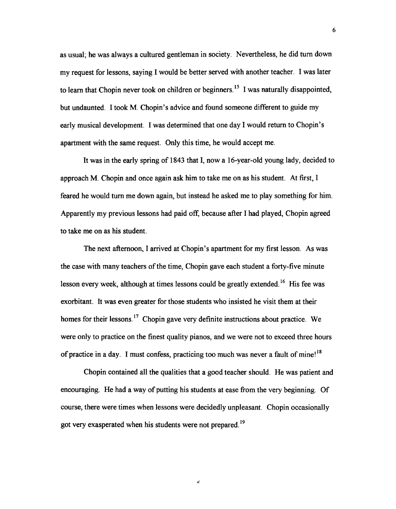as usual; he was always a cultured gentleman in society. Nevertheless, he did turn down my request for lessons, saying I would be better served with another teacher. I was later to learn that Chopin never took on children or beginners.<sup>15</sup> I was naturally disappointed, but undaunted. I took M. Chopin's advice and found someone different to guide my early musical development. I was determined that one day I would return to Chopin's apartment with the same request. Only this time, he would accept me.

It was in the early spring of 1843 that I, now a 16-year-old young lady, decided to approach M. Chopin and once again ask him to take me on as his student. At first, I feared he would turn me down again, but instead he asked me to play something for him. Apparently my previous lessons had paid off, because after I had played, Chopin agreed to take me on as his student.

The next afternoon, I arrived at Chopin's apartment for my first lesson. As was the case with many teachers of the time, Chopin gave each student a forty-five minute lesson every week, although at times lessons could be greatly extended.<sup>16</sup> His fee was exorbitant. It was even greater for those students who insisted he visit them at their homes for their lessons. <sup>17</sup> Chopin gave very definite instructions about practice. We were only to practice on the finest quality pianos, and we were not to exceed three hours of practice in a day. I must confess, practicing too much was never a fault of mine!<sup>18</sup>

Chopin contained all the qualities that a good teacher should. He was patient and encouraging. He had a way of putting his students at ease from the very beginning. Of course, there were times when lessons were decidedly unpleasant. Chopin occasionally got very exasperated when his students were not prepared. 19

 $\epsilon$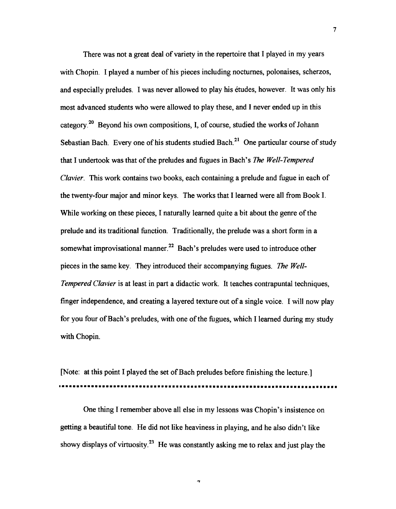There was not a great deal of variety in the repertoire that I played in my years with Chopin. I played a number of his pieces including nocturnes, polonaises, scherzos, and especially preludes. I was never allowed to play his etudes, however. It was only his most advanced students who were allowed to play these, and I never ended up in this category.<sup>20</sup> Beyond his own compositions, I, of course, studied the works of Johann Sebastian Bach. Every one of his students studied Bach.<sup>21</sup> One particular course of study that I undertook was that of the preludes and fugues in Bach's *The Well-Tempered Clavier.* This work contains two books, each containing a prelude and fugue in each of the twenty-four major and minor keys. The works that I learned were all from Book 1. While working on these pieces, I naturally learned quite a bit about the genre of the prelude and its traditional function. Traditionally, the prelude was a short form in a somewhat improvisational manner.<sup>22</sup> Bach's preludes were used to introduce other pieces in the same key. They introduced their accompanying fugues. *The Well-Tempered Clavier* is at least in part a didactic work. It teaches contrapuntal techniques, finger independence, and creating a layered texture out of a single voice. I will now play for you four of Bach's preludes, with one of the fugues, which I learned during my study with Chopin.

[Note: at this point I played the set of Bach preludes before finishing the lecture.] **••••••••••••••••••••••••••••••••••••••••••••••••••••••••••••••••••••••••••••** 

One thing I remember above all else in my lessons was Chopin's insistence on getting a beautiful tone. He did not like heaviness in playing, and he also didn't like showy displays of virtuosity.<sup>23</sup> He was constantly asking me to relax and just play the

ó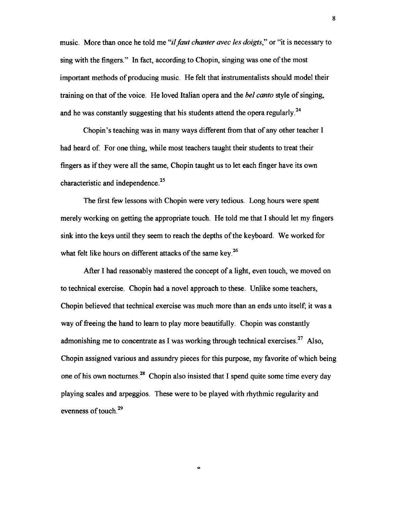music. More than once he told me "*il faut chanter avec les doigts*," or "it is necessary to sing with the fingers." In fact, according to Chopin, singing was one of the most important methods of producing music. He felt that instrumentalists should model their training on that of the voice. He loved Italian opera and the *bel canto* style of singing, and he was constantly suggesting that his students attend the opera regularly.<sup>24</sup>

Chopin's teaching was in many ways different from that of any other teacher I had heard of. For one thing, while most teachers taught their students to treat their fingers as if they were all the same, Chopin taught us to let each finger have its own characteristic and independence.<sup>25</sup>

The first few lessons with Chopin were very tedious. Long hours were spent merely working on getting the appropriate touch. He told me that I should let my fingers sink into the keys until they seem to reach the depths of the keyboard. We worked for what felt like hours on different attacks of the same key.<sup>26</sup>

After I had reasonably mastered the concept of a light, even touch, we moved on to technical exercise. Chopin had a novel approach to these. Unlike some teachers, Chopin believed that technical exercise was much more than an ends unto itself; it was a way of freeing the hand to learn to play more beautifully. Chopin was constantly admonishing me to concentrate as I was working through technical exercises.<sup>27</sup> Also, Chopin assigned various and assundry pieces for this purpose, my favorite of which being one of his own nocturnes.<sup>28</sup> Chopin also insisted that I spend quite some time every day playing scales and arpeggios. These were to be played with rhythmic regularity and evenness of touch.<sup>29</sup>

o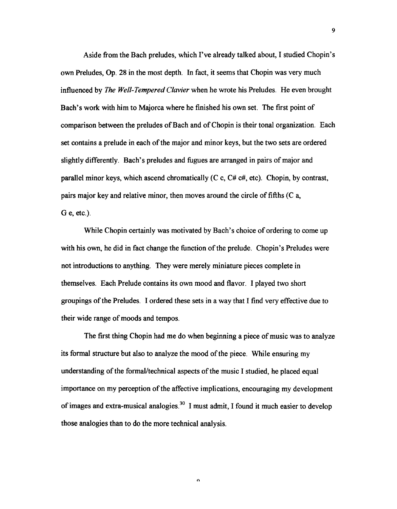Aside from the Bach preludes, which I've already talked about, I studied Chopin's own Preludes, Op. 28 in the most depth. In fact, it seems that Chopin was very much influenced by *The We/l-Tempered Clavier* when he wrote his Preludes. He even brought Bach's work with him to Majorca where he finished his own set. The first point of comparison between the preludes of Bach and of Chopin is their tonal organization. Each set contains a prelude in each of the major and minor keys, but the two sets are ordered slightly differently. Bach's preludes and fugues are arranged in pairs of major and parallel minor keys, which ascend chromatically  $(C \ c, C \# \ c \#, etc)$ . Chopin, by contrast, pairs major key and relative minor, then moves around the circle of fifths (C a, G e, etc.).

While Chopin certainly was motivated by Bach's choice of ordering to come up with his own, he did in fact change the function of the prelude. Chopin's Preludes were not introductions to anything. They were merely miniature pieces complete in themselves. Each Prelude contains its own mood and flavor. I played two short groupings of the Preludes. I ordered these sets in a way that I find very effective due to their wide range of moods and tempos.

The first thing Chopin had me do when beginning a piece of music was to analyze its formal structure but also to analyze the mood of the piece. While ensuring my understanding of the formal/technical aspects of the music I studied, he placed equal importance on my perception of the affective implications, encouraging my development of images and extra-musical analogies.<sup>30</sup> I must admit. I found it much easier to develop those analogies than to do the more technical analysis.

 $\alpha$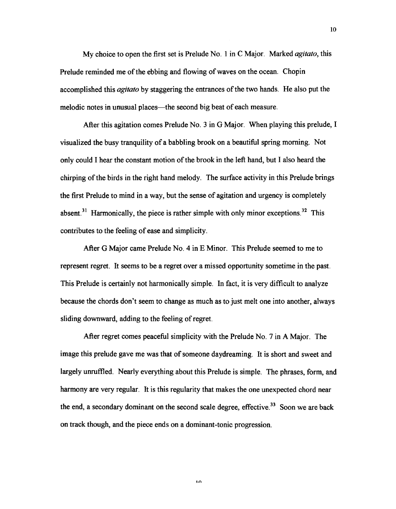My choice to open the first set is Prelude No. 1 in C Major. Marked *agitato,* this Prelude reminded me of the ebbing and flowing of waves on the ocean. Chopin accomplished this *agitato* by staggering the entrances of the two hands. He also put the melodic notes in unusual places—the second big beat of each measure.

After this agitation comes Prelude No.  $3$  in G Major. When playing this prelude, I visualized the busy tranquility of a babbling brook on a beautiful spring morning. Not only could I hear the constant motion of the brook in the left hand, but I also heard the chirping of the birds in the right hand melody. The surface activity in this Prelude brings the first Prelude to mind in a way, but the sense of agitation and urgency is completely absent.<sup>31</sup> Harmonically, the piece is rather simple with only minor exceptions.<sup>32</sup> This contributes to the feeling of ease and simplicity.

After G Major came Prelude No.4 in E Minor. This Prelude seemed to me to represent regret. It seems to be a regret over a missed opportunity sometime in the past. This Prelude is certainly not harmonically simple. In fact, it is very difficult to analyze because the chords don't seem to change as much as to just melt one into another, always sliding downward, adding to the feeling of regret.

After regret comes peaceful simplicity with the Prelude No. 7 in A Major. The image this prelude gave me was that of someone daydreaming. It is short and sweet and largely unruffled. Nearly everything about this Prelude is simple. The phrases, form, and harmony are very regular. It is this regularity that makes the one unexpected chord near the end, a secondary dominant on the second scale degree, effective.<sup>33</sup> Soon we are back on track though, and the piece ends on a dominant-tonic progression.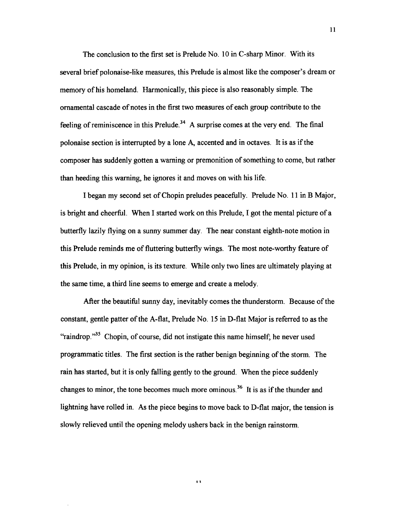The conclusion to the first set is Prelude No. 10 in C-sharp Minor. With its several brief polonaise-like measures, this Prelude is almost like the composer's dream or memory of his homeland. Harmonically, this piece is also reasonably simple. The ornamental cascade of notes in the first two measures of each group contribute to the feeling of reminiscence in this Prelude.<sup>34</sup> A surprise comes at the very end. The final polonaise section is interrupted by a lone A, accented and in octaves. It is as if the composer has suddenly gotten a warning or premonition of something to come, but rather than heeding this warning, he ignores it and moves on with his life.

I began my second set of Chopin preludes peacefully. Prelude No. 11 in B Major, is bright and cheerful. When I started work on this Prelude, I got the mental picture of a butterfly lazily flying on a sunny summer day. The near constant eighth-note motion in this Prelude reminds me of fluttering butterfly wings. The most note-worthy feature of this Prelude, in my opinion, is its texture. While only two lines are ultimately playing at the same time, a third line seems to emerge and create a melody.

After the beautiful sunny day, inevitably comes the thunderstorm. Because of the constant, gentle patter of the A-flat, Prelude No. 15 in D-flat Major is referred to as the "raindrop. $135$  Chopin, of course, did not instigate this name himself; he never used programmatic titles. The first section is the rather benign beginning of the storm. The rain has started, but it is only falling gently to the ground. When the piece suddenly changes to minor, the tone becomes much more ominous.<sup>36</sup> It is as if the thunder and lightning have rolled in. As the piece begins to move back to D-flat major, the tension is slowly relieved until the opening melody ushers back in the benign rainstorm.

1 1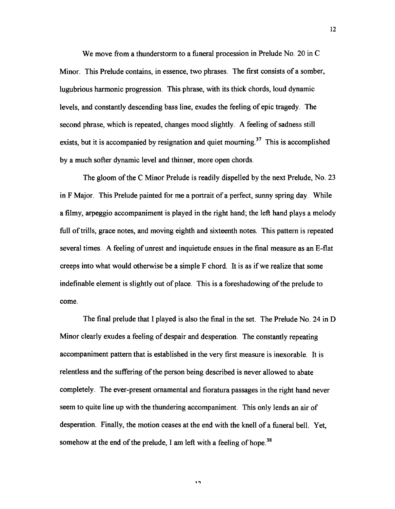We move from a thunderstorm to a funeral procession in Prelude No. 20 in C Minor. This Prelude contains, in essence, two phrases. The first consists of a somber, lugubrious harmonic progression. This phrase, with its thick chords, loud dynamic levels, and constantly descending bass line, exudes the feeling of epic tragedy. The second phrase, which is repeated, changes mood slightly. A feeling of sadness still exists, but it is accompanied by resignation and quiet mourning.<sup>37</sup> This is accomplished by a much softer dynamic level and thinner, more open chords.

The gloom of the C Minor Prelude is readily dispelled by the next Prelude, No. 23 in F Major. This Prelude painted for me a portrait of a perfect, sunny spring day. While a filmy, arpeggio accompaniment is played in the right hand; the left hand plays a melody full of trills, grace notes, and moving eighth and sixteenth notes. This pattern is repeated several times. A feeling of unrest and inquietude ensues in the final measure as an E-flat creeps into what would otherwise be a simple F chord. It is as if we realize that some indefinable element is slightly out of place. This is a foreshadowing of the prelude to come.

The final prelude that I played is also the final in the set. The Prelude No. 24 in D Minor clearly exudes a feeling of despair and desperation. The constantly repeating accompaniment pattern that is established in the very first measure is inexorable. It is relentless and the suffering of the person being described is never allowed to abate completely. The ever-present ornamental and fioratura passages in the right hand never seem to quite line up with the thundering accompaniment. This only lends an air of desperation. Finally, the motion ceases at the end with the knell of a funeral bell. Yet, somehow at the end of the prelude, I am left with a feeling of hope.<sup>38</sup>

 $\mathbf{1}\Omega$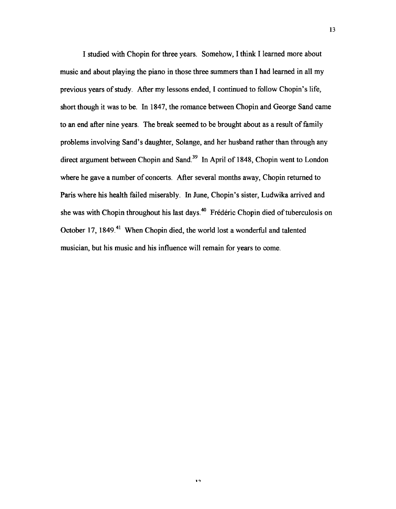I studied with Chopin for three years. Somehow, I think I learned more about music and about playing the piano in those three summers than I had learned in all my previous years of study. After my lessons ended, I continued to follow Chopin's life, short though it was to be. In 1847, the romance between Chopin and George Sand came to an end after nine years. The break seemed to be brought about as a result of family problems involving Sand's daughter, Solange, and her husband rather than through any direct argument between Chopin and Sand.<sup>39</sup> In April of 1848, Chopin went to London where he gave a number of concerts. After several months away, Chopin returned to Paris where his health failed miserably. In June, Chopin's sister, Ludwika arrived and she was with Chopin throughout his last days.<sup>40</sup> Frédéric Chopin died of tuberculosis on October 17, 1849.<sup>41</sup> When Chopin died, the world lost a wonderful and talented musician, but his music and his influence will remain for years to come.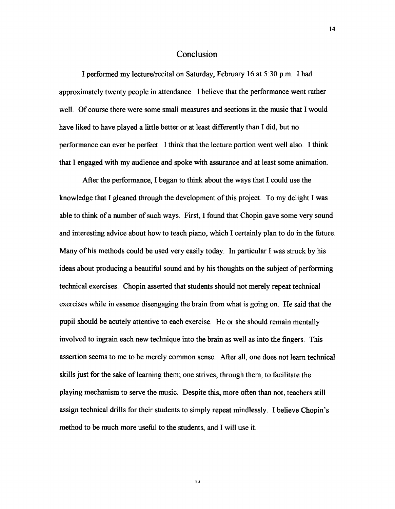### Conclusion

I perfonned my lecture/recital on Saturday, February 16 at 5:30 p.m. I had approximately twenty people in attendance. I believe that the perfonnance went rather well. Of course there were some small measures and sections in the music that I would have liked to have played a little better or at least differently than I did, but no performance can ever be perfect. I think that the lecture portion went well also. I think that I engaged with my audience and spoke with assurance and at least some animation.

After the performance, I began to think about the ways that I could use the knowledge that I gleaned through the development of this project. To my delight I was able to think of a number of such ways. First, I found that Chopin gave some very sound and interesting advice about how to teach piano, which I certainly plan to do in the future. Many of his methods could be used very easily today. In particular I was struck by his ideas about producing a beautiful sound and by his thoughts on the subject of performing technical exercises. Chopin asserted that students should not merely repeat technical exercises while in essence disengaging the brain from what is going on. He said that the pupil should be acutely attentive to each exercise. He or she should remain mentally involved to ingrain each new technique into the brain as well as into the fingers. This assertion seems to me to be merely common sense. After all, one does not learn technical skills just for the sake of learning them; one strives, through them, to facilitate the playing mechanism to serve the music. Despite this, more often than not, teachers still assign technical drills for their students to simply repeat mindlessly. I believe Chopin's method to be much more useful to the students, and I will use it.

1 A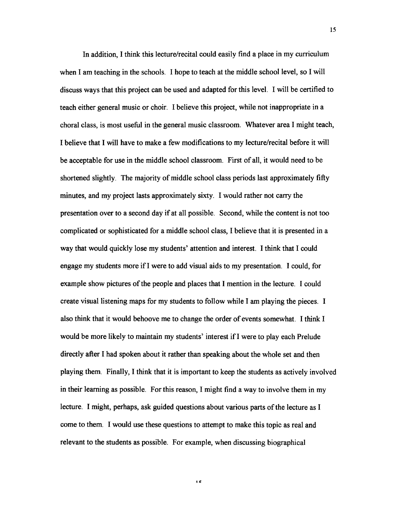In addition, I think this lecture/recital could easily find a place in my curriculum when I am teaching in the schools. I hope to teach at the middle school level, so I will discuss ways that this project can be used and adapted for this level. I will be certified to teach either general music or choir. I believe this project, while not inappropriate in a choral class, is most useful in the general music classroom. Whatever area I might teach, I believe that I will have to make a few modifications to my lecture/recital before it will be acceptable for use in the middle school classroom. First of all, it would need to be shortened slightly. The majority of middle school class periods last approximately fifty minutes, and my project lasts approximately sixty. I would rather not cany the presentation over to a second day if at all possible. Second, while the content is not too complicated or sophisticated for a middle school class, I believe that it is presented in a way that would quickly lose my students' attention and interest. I think that I could engage my students more if I were to add visual aids to my presentation. I could, for example show pictures of the people and places that I mention in the lecture. I could create visual listening maps for my students to follow while I am playing the pieces. I also think that it would behoove me to change the order of events somewhat. I think I would be more likely to maintain my students' interest ifI were to play each Prelude directly after I had spoken about it rather than speaking about the whole set and then playing them. Finally, I think that it is important to keep the students as actively involved in their learning as possible. For this reason, I might find a way to involve them in my lecture. I might, perhaps, ask guided questions about various parts of the lecture as I come to them. I would use these questions to attempt to make this topic as real and relevant to the students as possible. For example, when discussing biographical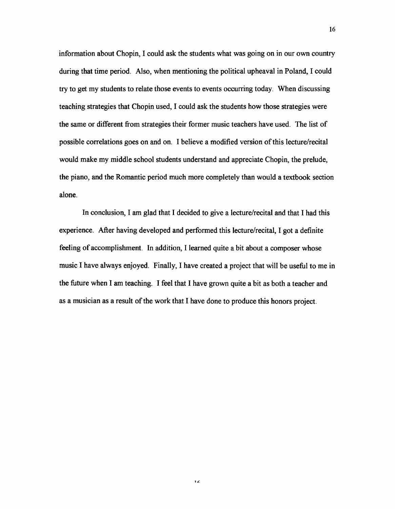information about Chopin, I could ask the students what was going on in our own country during that time period. Also, when mentioning the political upheaval in Poland, I could try to get my students to relate those events to events occurring today. When discussing teaching strategies that Chopin used, I could ask the students how those strategies were the same or different from strategies their former music teachers have used. The list of possible correlations goes on and on. I believe a modified version of this lecture/recital would make my middle school students understand and appreciate Chopin, the prelude, the piano, and the Romantic period much more completely than would a textbook section alone.

In conclusion, I am glad that I decided to give a lecture/recital and that I had this experience. After having developed and performed this lecture/recital, I got a definite feeling of accomplishment. In addition, I learned quite a bit about a composer whose music I have always enjoyed. Finally, I have created a project that will be useful to me in the future when I am teaching. I feel that I have grown quite a bit as both a teacher and as a musician as a result of the work that I have done to produce this honors project.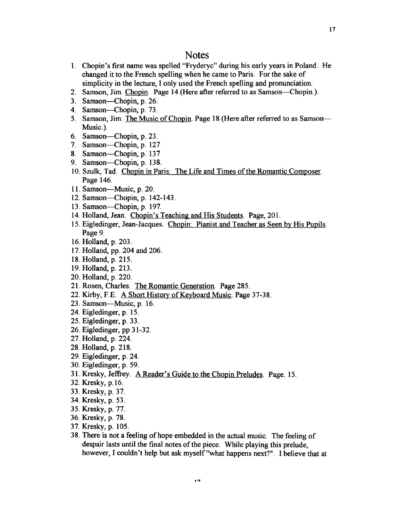### **Notes**

- 1. Chopin's first name was spelled "Fryderyc" during his early years in Poland. He changed it to the French spelling when he came to Paris. For the sake of simplicity in the lecture, I only used the French spelling and pronunciation.
- 2. Samson, Jim. Chopin. Page 14 (Here after referred to as Samson-Chopin.).
- 3. Samson-Chopin, p. 26.
- 4. Samson-Chopin, p. 73.
- 5. Samson, Jim. The Music of Chopin. Page 18 (Here after referred to as Samson-Music.).
- 6. Samson-Chopin, p. 23.
- 7. Samson—Chopin, p. 127
- 8. Samson-Chopin, p. 137
- 9. Samson-Chopin, p. 138.
- 10. Szulk, Tad. Chopin in Paris: The Life and Times of the Romantic Composer. Page 146.
- 11. Samson-Music, p. 20.
- 12. Samson-Chopin, p. 142-143.
- 13. Samson-Chopin, p. 197.
- 14. Holland, Jean. Chopin's Teaching and His Students. Page, 201.
- 15. Eigledinger, Jean-Jacques. Chopin: Pianist and Teacher as Seen by His Pupils. Page 9.
- 16. Holland, p. 203.
- 17. Holland, pp. 204 and 206.
- 18. Holland, p. 215.
- 19. Holland, p. 213.
- 20. Holland, p. 220.
- 21. Rosen, Charles. The Romantic Generation. Page 285.
- 22. Kirby, F.E. A Short History of Keyboard Music. Page 37-38.
- 23. Samson-Music, p. 16.
- 24. Eigledinger, p. 15.
- 25. Eigledinger, p. 33.
- 26. Eigledinger, pp 31-32.
- 27. Holland, p. 224.
- 28. Holland, p. 218.
- 29. Eigledinger, p. 24.
- 30. Eigledinger, p. 59.
- 31. Kresky, Jeffrey. A Reader's Guide to the Chopin Preludes. Page. 15.
- 32. Kresky, p.16.
- 33. Kresky, p. 37.
- 34. Kresky, p. 53.
- 35. Kresky, p. 77.
- 36. Kresky, p. 78.
- 37. Kresky, p. 105.
- 38. There is not a feeling of hope embedded in the actual music. The feeling of despair lasts until the final notes of the piece. While playing this prelude, however, I couldn't help but ask myself "what happens next?". I believe that at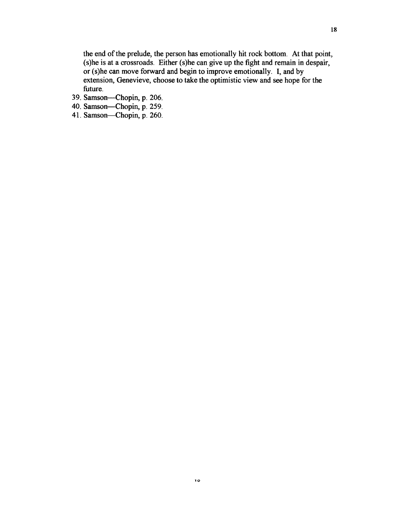the end of the prelude, the person has emotionally hit rock bottom. At that point, (s)he is at a crossroads. Either (s)he can give up the fight and remain in despair, or (s)he can move forward and begin to improve emotionally. I, and by extension, Genevieve, choose to take the optimistic view and see hope for the future.

- 39. Samson-Chopin, p. 206.
- 40. Samson-Chopin, p. 259.
- 41. Samson-Chopin, p. 260.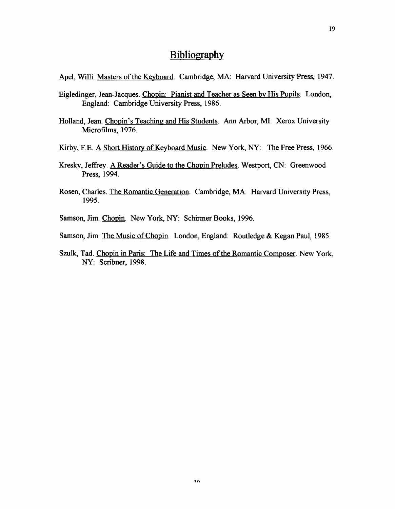### **Bibliography**

Apel, Willi. Masters of the Keyboard. Cambridge, MA: Harvard University Press, 1947.

- Eigledinger, Jean-Jacques. Chopin: Pianist and Teacher as Seen by His Pupils. London, England: Cambridge University Press, 1986.
- Holland, Jean. Chopin's Teaching and His Students. Ann Arbor, MI: Xerox University Microfilms, 1976.
- Kirby, F.E. A Short History of Keyboard Music. New York, NY: The Free Press, 1966.
- Kresky, Jeffrey. A Reader's Guide to the Chopin Preludes. Westport, CN: Greenwood Press, 1994.
- Rosen, Charles. The Romantic Generation. Cambridge, MA: Harvard University Press, 1995.
- Samson, Jim. Chopin. New York, NY: Schirmer Books, 1996.
- Samson, Jim. The Music of Chopin. London, England: Routledge & Kegan Paul, 1985.
- Szulk, Tad. Chopin in Paris: The Life and Times of the Romantic Composer. New York, NY: Scribner, 1998.